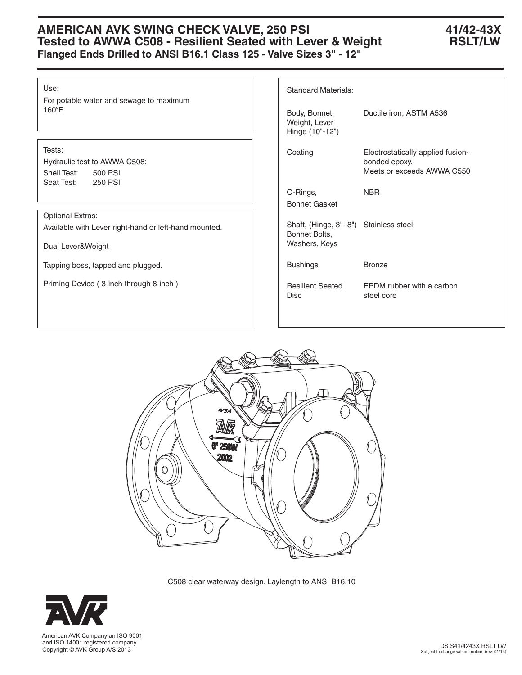# **AMERICAN AVK SWING CHECK VALVE, 250 PSI 41/42-43X Tested to AWWA C508 - Resilient Seated with Lever & Weight RSLT/LW Flanged Ends Drilled to ANSI B16.1 Class 125 - Valve Sizes 3" - 12"**

### Use:

For potable water and sewage to maximum 160°F.

# Tests:

Hydraulic test to AWWA C508: Shell Test: 500 PSI Seat Test: 250 PSI

# Optional Extras:

Available with Lever right-hand or left-hand mounted.

Dual Lever&Weight

Tapping boss, tapped and plugged.

Priming Device ( 3-inch through 8-inch )

| <b>Standard Materials:</b>                                              |                                                                                  |  |  |  |  |  |  |
|-------------------------------------------------------------------------|----------------------------------------------------------------------------------|--|--|--|--|--|--|
| Body, Bonnet,<br>Weight, Lever<br>Hinge (10"-12")                       | Ductile iron, ASTM A536                                                          |  |  |  |  |  |  |
| Coating                                                                 | Electrostatically applied fusion-<br>bonded epoxy.<br>Meets or exceeds AWWA C550 |  |  |  |  |  |  |
| O-Rings,<br><b>Bonnet Gasket</b>                                        | <b>NBR</b>                                                                       |  |  |  |  |  |  |
| Shaft, (Hinge, 3"-8") Stainless steel<br>Bonnet Bolts,<br>Washers, Keys |                                                                                  |  |  |  |  |  |  |
| <b>Bushings</b>                                                         | <b>Bronze</b>                                                                    |  |  |  |  |  |  |
| <b>Resilient Seated</b><br>Disc                                         | EPDM rubber with a carbon<br>steel core                                          |  |  |  |  |  |  |



C508 clear waterway design. Laylength to ANSI B16.10



 and ISO 14001 registered company Copyright © AVK Group A/S 2013